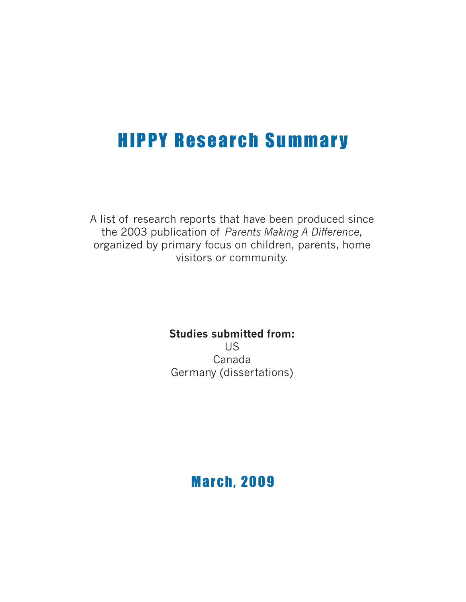# **HIPPY Research Summary**

A list of research reports that have been produced since the 2003 publication of *Parents Making A Difference,* organized by primary focus on children, parents, home visitors or community.

> **Studies submitted from:** US Canada Germany (dissertations)

> > **March, 2009**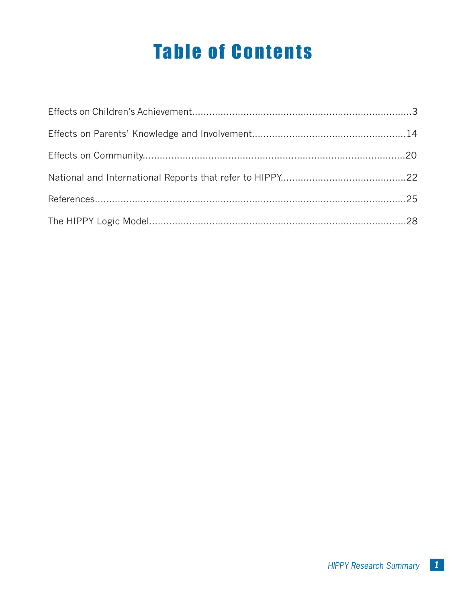# **Table of Contents**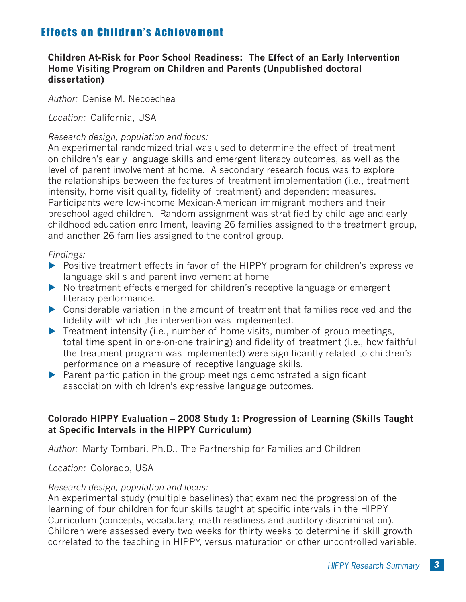# **Children At-Risk for Poor School Readiness: The Effect of an Early Intervention Home Visiting Program on Children and Parents (Unpublished doctoral dissertation)**

*Author:* Denise M. Necoechea

*Location:* California, USA

#### *Research design, population and focus:*

An experimental randomized trial was used to determine the effect of treatment on children's early language skills and emergent literacy outcomes, as well as the level of parent involvement at home. A secondary research focus was to explore the relationships between the features of treatment implementation (i.e., treatment intensity, home visit quality, fidelity of treatment) and dependent measures. Participants were low-income Mexican-American immigrant mothers and their preschool aged children. Random assignment was stratified by child age and early childhood education enrollment, leaving 26 families assigned to the treatment group, and another 26 families assigned to the control group.

#### *Findings:*

- ▶ Positive treatment effects in favor of the HIPPY program for children's expressive language skills and parent involvement at home
- ▶ No treatment effects emerged for children's receptive language or emergent literacy performance.
- ▶ Considerable variation in the amount of treatment that families received and the fidelity with which the intervention was implemented.
- ▶ Treatment intensity (i.e., number of home visits, number of group meetings, total time spent in one-on-one training) and fidelity of treatment (i.e., how faithful the treatment program was implemented) were significantly related to children's performance on a measure of receptive language skills.
- $\blacktriangleright$  Parent participation in the group meetings demonstrated a significant association with children's expressive language outcomes.

### **Colorado HIPPY Evaluation – 2008 Study 1: Progression of Learning (Skills Taught at Specific Intervals in the HIPPY Curriculum)**

*Author:* Marty Tombari, Ph.D., The Partnership for Families and Children

#### *Location:* Colorado, USA

#### *Research design, population and focus:*

An experimental study (multiple baselines) that examined the progression of the learning of four children for four skills taught at specific intervals in the HIPPY Curriculum (concepts, vocabulary, math readiness and auditory discrimination). Children were assessed every two weeks for thirty weeks to determine if skill growth correlated to the teaching in HIPPY, versus maturation or other uncontrolled variable.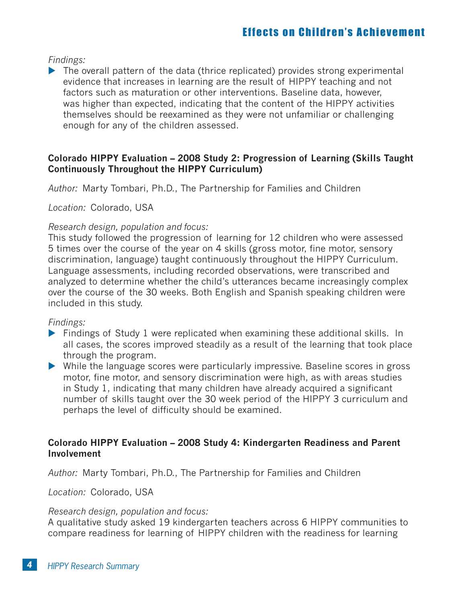*Findings:*

I The overall pattern of the data (thrice replicated) provides strong experimental evidence that increases in learning are the result of HIPPY teaching and not factors such as maturation or other interventions. Baseline data, however, was higher than expected, indicating that the content of the HIPPY activities themselves should be reexamined as they were not unfamiliar or challenging enough for any of the children assessed.

# **Colorado HIPPY Evaluation – 2008 Study 2: Progression of Learning (Skills Taught Continuously Throughout the HIPPY Curriculum)**

*Author:* Marty Tombari, Ph.D., The Partnership for Families and Children

*Location:* Colorado, USA

### *Research design, population and focus:*

This study followed the progression of learning for 12 children who were assessed 5 times over the course of the year on 4 skills (gross motor, fine motor, sensory discrimination, language) taught continuously throughout the HIPPY Curriculum. Language assessments, including recorded observations, were transcribed and analyzed to determine whether the child's utterances became increasingly complex over the course of the 30 weeks. Both English and Spanish speaking children were included in this study.

*Findings:* 

- Findings of Study 1 were replicated when examining these additional skills. In all cases, the scores improved steadily as a result of the learning that took place through the program.
- While the language scores were particularly impressive. Baseline scores in gross motor, fine motor, and sensory discrimination were high, as with areas studies in Study 1, indicating that many children have already acquired a significant number of skills taught over the 30 week period of the HIPPY 3 curriculum and perhaps the level of difficulty should be examined.

# **Colorado HIPPY Evaluation – 2008 Study 4: Kindergarten Readiness and Parent Involvement**

*Author:* Marty Tombari, Ph.D., The Partnership for Families and Children

*Location:* Colorado, USA

#### *Research design, population and focus:*

A qualitative study asked 19 kindergarten teachers across 6 HIPPY communities to compare readiness for learning of HIPPY children with the readiness for learning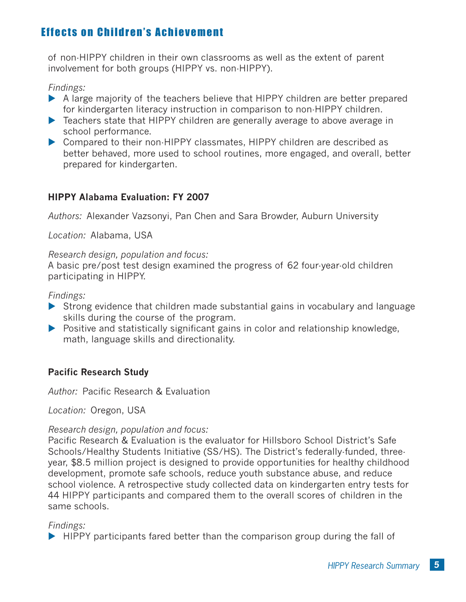of non-HIPPY children in their own classrooms as well as the extent of parent involvement for both groups (HIPPY vs. non-HIPPY).

#### *Findings:*

- A large majority of the teachers believe that HIPPY children are better prepared for kindergarten literacy instruction in comparison to non-HIPPY children.
- Exerciace Teachers state that HIPPY children are generally average to above average in school performance.
- ▶ Compared to their non-HIPPY classmates, HIPPY children are described as better behaved, more used to school routines, more engaged, and overall, better prepared for kindergarten.

# **HIPPY Alabama Evaluation: FY 2007**

*Authors:* Alexander Vazsonyi, Pan Chen and Sara Browder, Auburn University

*Location:* Alabama, USA

#### *Research design, population and focus:*

A basic pre/post test design examined the progress of 62 four-year-old children participating in HIPPY.

### *Findings:*

- ▶ Strong evidence that children made substantial gains in vocabulary and language skills during the course of the program.
- **Positive and statistically significant gains in color and relationship knowledge,** math, language skills and directionality.

# **Pacific Research Study**

*Author:* Pacific Research & Evaluation

*Location:* Oregon, USA

# *Research design, population and focus:*

Pacific Research & Evaluation is the evaluator for Hillsboro School District's Safe Schools/Healthy Students Initiative (SS/HS). The District's federally-funded, threeyear, \$8.5 million project is designed to provide opportunities for healthy childhood development, promote safe schools, reduce youth substance abuse, and reduce school violence. A retrospective study collected data on kindergarten entry tests for 44 HIPPY participants and compared them to the overall scores of children in the same schools.

# *Findings:*

 $\blacktriangleright$  HIPPY participants fared better than the comparison group during the fall of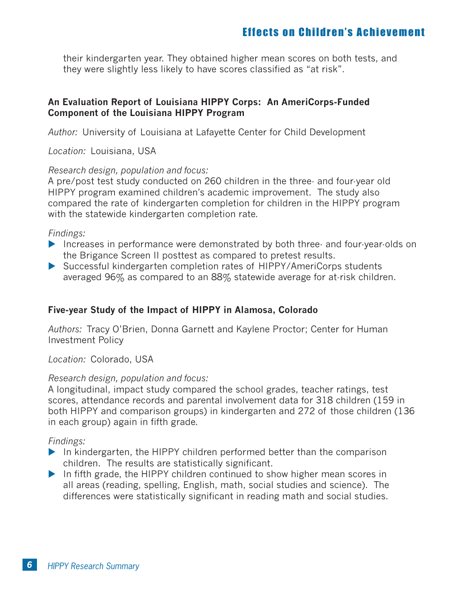their kindergarten year. They obtained higher mean scores on both tests, and they were slightly less likely to have scores classified as "at risk".

# **An Evaluation Report of Louisiana HIPPY Corps: An AmeriCorps-Funded Component of the Louisiana HIPPY Program**

*Author:* University of Louisiana at Lafayette Center for Child Development

*Location:* Louisiana, USA

#### *Research design, population and focus:*

A pre/post test study conducted on 260 children in the three- and four-year old HIPPY program examined children's academic improvement. The study also compared the rate of kindergarten completion for children in the HIPPY program with the statewide kindergarten completion rate.

*Findings:* 

- Increases in performance were demonstrated by both three- and four-year-olds on the Brigance Screen II posttest as compared to pretest results.
- ▶ Successful kindergarten completion rates of HIPPY/AmeriCorps students averaged 96% as compared to an 88% statewide average for at-risk children.

# **Five-year Study of the Impact of HIPPY in Alamosa, Colorado**

*Authors:* Tracy O'Brien, Donna Garnett and Kaylene Proctor; Center for Human Investment Policy

*Location:* Colorado, USA

#### *Research design, population and focus:*

A longitudinal, impact study compared the school grades, teacher ratings, test scores, attendance records and parental involvement data for 318 children (159 in both HIPPY and comparison groups) in kindergarten and 272 of those children (136 in each group) again in fifth grade.

#### *Findings:*

- In kindergarten, the HIPPY children performed better than the comparison children. The results are statistically significant.
- In fifth grade, the HIPPY children continued to show higher mean scores in all areas (reading, spelling, English, math, social studies and science). The differences were statistically significant in reading math and social studies.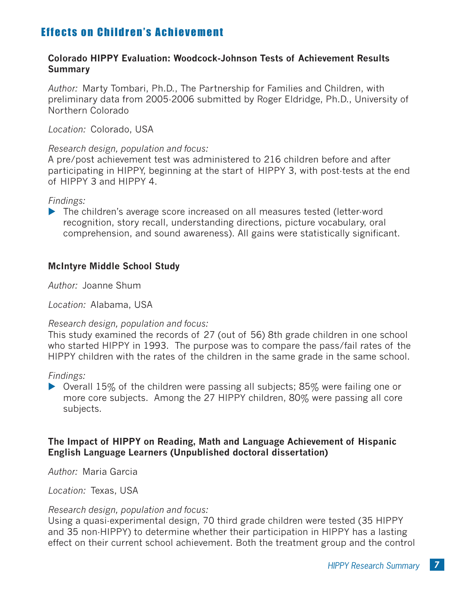#### **Colorado HIPPY Evaluation: Woodcock-Johnson Tests of Achievement Results Summary**

*Author:* Marty Tombari, Ph.D., The Partnership for Families and Children, with preliminary data from 2005-2006 submitted by Roger Eldridge, Ph.D., University of Northern Colorado

*Location:* Colorado, USA

#### *Research design, population and focus:*

A pre/post achievement test was administered to 216 children before and after participating in HIPPY, beginning at the start of HIPPY 3, with post-tests at the end of HIPPY 3 and HIPPY 4.

#### *Findings:*

▶ The children's average score increased on all measures tested (letter-word recognition, story recall, understanding directions, picture vocabulary, oral comprehension, and sound awareness). All gains were statistically significant.

# **McIntyre Middle School Study**

*Author:* Joanne Shum

*Location:* Alabama, USA

#### *Research design, population and focus:*

This study examined the records of 27 (out of 56) 8th grade children in one school who started HIPPY in 1993. The purpose was to compare the pass/fail rates of the HIPPY children with the rates of the children in the same grade in the same school.

#### *Findings:*

 $\triangleright$  Overall 15% of the children were passing all subjects; 85% were failing one or more core subjects. Among the 27 HIPPY children, 80% were passing all core subjects.

#### **The Impact of HIPPY on Reading, Math and Language Achievement of Hispanic English Language Learners (Unpublished doctoral dissertation)**

*Author:* Maria Garcia

*Location:* Texas, USA

#### *Research design, population and focus:*

Using a quasi-experimental design, 70 third grade children were tested (35 HIPPY and 35 non-HIPPY) to determine whether their participation in HIPPY has a lasting effect on their current school achievement. Both the treatment group and the control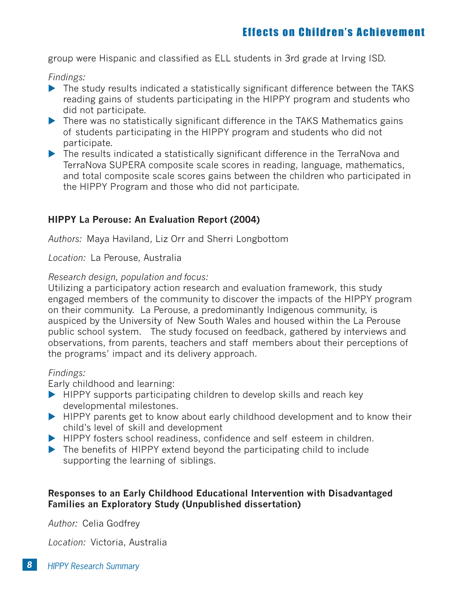group were Hispanic and classified as ELL students in 3rd grade at Irving ISD.

*Findings:* 

- The study results indicated a statistically significant difference between the TAKS reading gains of students participating in the HIPPY program and students who did not participate.
- There was no statistically significant difference in the TAKS Mathematics gains of students participating in the HIPPY program and students who did not participate.
- ▶ The results indicated a statistically significant difference in the TerraNova and TerraNova SUPERA composite scale scores in reading, language, mathematics, and total composite scale scores gains between the children who participated in the HIPPY Program and those who did not participate.

# **HIPPY La Perouse: An Evaluation Report (2004)**

*Authors:* Maya Haviland, Liz Orr and Sherri Longbottom

*Location:* La Perouse, Australia

# *Research design, population and focus:*

Utilizing a participatory action research and evaluation framework, this study engaged members of the community to discover the impacts of the HIPPY program on their community. La Perouse, a predominantly Indigenous community, is auspiced by the University of New South Wales and housed within the La Perouse public school system. The study focused on feedback, gathered by interviews and observations, from parents, teachers and staff members about their perceptions of the programs' impact and its delivery approach.

# *Findings:*

Early childhood and learning:

- ▶ HIPPY supports participating children to develop skills and reach key developmental milestones.
- HIPPY parents get to know about early childhood development and to know their child's level of skill and development
- HIPPY fosters school readiness, confidence and self esteem in children.
- The benefits of HIPPY extend beyond the participating child to include supporting the learning of siblings.

# **Responses to an Early Childhood Educational Intervention with Disadvantaged Families an Exploratory Study (Unpublished dissertation)**

*Author:* Celia Godfrey

*Location:* Victoria, Australia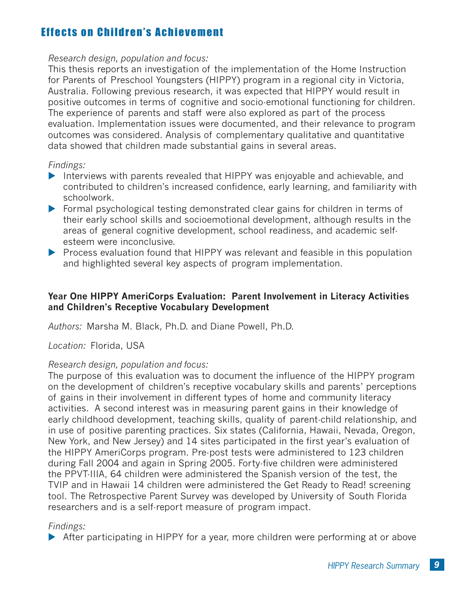### *Research design, population and focus:*

This thesis reports an investigation of the implementation of the Home Instruction for Parents of Preschool Youngsters (HIPPY) program in a regional city in Victoria, Australia. Following previous research, it was expected that HIPPY would result in positive outcomes in terms of cognitive and socio-emotional functioning for children. The experience of parents and staff were also explored as part of the process evaluation. Implementation issues were documented, and their relevance to program outcomes was considered. Analysis of complementary qualitative and quantitative data showed that children made substantial gains in several areas.

### *Findings:*

- Interviews with parents revealed that HIPPY was enjoyable and achievable, and contributed to children's increased confidence, early learning, and familiarity with schoolwork.
- ▶ Formal psychological testing demonstrated clear gains for children in terms of their early school skills and socioemotional development, although results in the areas of general cognitive development, school readiness, and academic selfesteem were inconclusive.
- ▶ Process evaluation found that HIPPY was relevant and feasible in this population and highlighted several key aspects of program implementation.

# **Year One HIPPY AmeriCorps Evaluation: Parent Involvement in Literacy Activities and Children's Receptive Vocabulary Development**

*Authors:* Marsha M. Black, Ph.D. and Diane Powell, Ph.D.

# *Location:* Florida, USA

# *Research design, population and focus:*

The purpose of this evaluation was to document the influence of the HIPPY program on the development of children's receptive vocabulary skills and parents' perceptions of gains in their involvement in different types of home and community literacy activities. A second interest was in measuring parent gains in their knowledge of early childhood development, teaching skills, quality of parent-child relationship, and in use of positive parenting practices. Six states (California, Hawaii, Nevada, Oregon, New York, and New Jersey) and 14 sites participated in the first year's evaluation of the HIPPY AmeriCorps program. Pre-post tests were administered to 123 children during Fall 2004 and again in Spring 2005. Forty-five children were administered the PPVT-IIIA, 64 children were administered the Spanish version of the test, the TVIP and in Hawaii 14 children were administered the Get Ready to Read! screening tool. The Retrospective Parent Survey was developed by University of South Florida researchers and is a self-report measure of program impact.

# *Findings:*

▶ After participating in HIPPY for a year, more children were performing at or above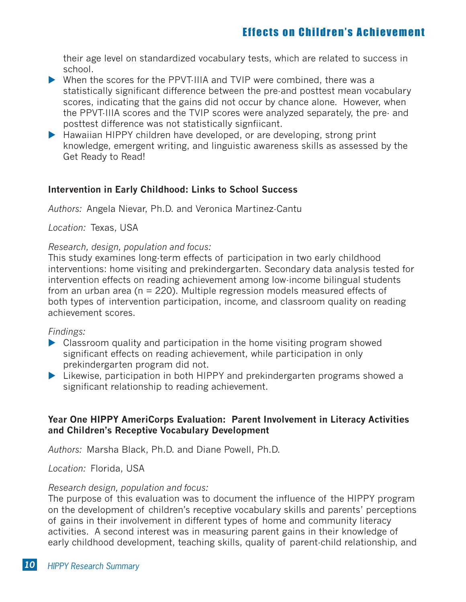their age level on standardized vocabulary tests, which are related to success in school.

- When the scores for the PPVT-IIIA and TVIP were combined, there was a statistically significant difference between the pre-and posttest mean vocabulary scores, indicating that the gains did not occur by chance alone. However, when the PPVT-IIIA scores and the TVIP scores were analyzed separately, the pre- and posttest difference was not statistically signfiicant.
- ▶ Hawaiian HIPPY children have developed, or are developing, strong print knowledge, emergent writing, and linguistic awareness skills as assessed by the Get Ready to Read!

# **Intervention in Early Childhood: Links to School Success**

*Authors:* Angela Nievar, Ph.D. and Veronica Martinez-Cantu

*Location:* Texas, USA

### *Research, design, population and focus:*

This study examines long-term effects of participation in two early childhood interventions: home visiting and prekindergarten. Secondary data analysis tested for intervention effects on reading achievement among low-income bilingual students from an urban area ( $n = 220$ ). Multiple regression models measured effects of both types of intervention participation, income, and classroom quality on reading achievement scores.

#### *Findings:*

- Classroom quality and participation in the home visiting program showed significant effects on reading achievement, while participation in only prekindergarten program did not.
- Eikewise, participation in both HIPPY and prekindergarten programs showed a significant relationship to reading achievement.

# **Year One HIPPY AmeriCorps Evaluation: Parent Involvement in Literacy Activities and Children's Receptive Vocabulary Development**

*Authors:* Marsha Black, Ph.D. and Diane Powell, Ph.D.

*Location:* Florida, USA

# *Research design, population and focus:*

The purpose of this evaluation was to document the influence of the HIPPY program on the development of children's receptive vocabulary skills and parents' perceptions of gains in their involvement in different types of home and community literacy activities. A second interest was in measuring parent gains in their knowledge of early childhood development, teaching skills, quality of parent-child relationship, and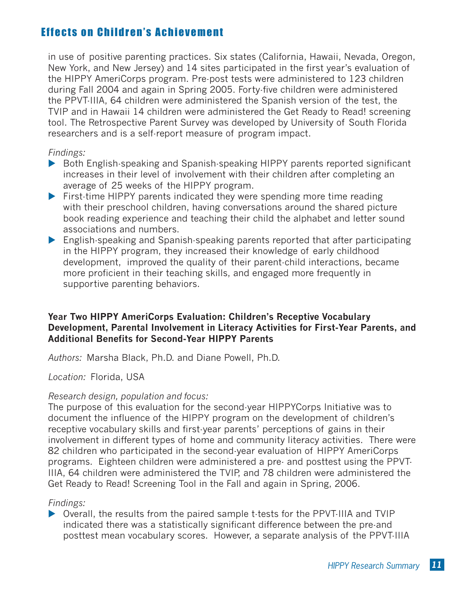in use of positive parenting practices. Six states (California, Hawaii, Nevada, Oregon, New York, and New Jersey) and 14 sites participated in the first year's evaluation of the HIPPY AmeriCorps program. Pre-post tests were administered to 123 children during Fall 2004 and again in Spring 2005. Forty-five children were administered the PPVT-IIIA, 64 children were administered the Spanish version of the test, the TVIP and in Hawaii 14 children were administered the Get Ready to Read! screening tool. The Retrospective Parent Survey was developed by University of South Florida researchers and is a self-report measure of program impact.

#### *Findings:*

- ▶ Both English-speaking and Spanish-speaking HIPPY parents reported significant increases in their level of involvement with their children after completing an average of 25 weeks of the HIPPY program.
- ▶ First-time HIPPY parents indicated they were spending more time reading with their preschool children, having conversations around the shared picture book reading experience and teaching their child the alphabet and letter sound associations and numbers.
- English-speaking and Spanish-speaking parents reported that after participating in the HIPPY program, they increased their knowledge of early childhood development, improved the quality of their parent-child interactions, became more proficient in their teaching skills, and engaged more frequently in supportive parenting behaviors.

# **Year Two HIPPY AmeriCorps Evaluation: Children's Receptive Vocabulary Development, Parental Involvement in Literacy Activities for First-Year Parents, and Additional Benefits for Second-Year HIPPY Parents**

*Authors:* Marsha Black, Ph.D. and Diane Powell, Ph.D.

# *Location:* Florida, USA

# *Research design, population and focus:*

The purpose of this evaluation for the second-year HIPPYCorps Initiative was to document the influence of the HIPPY program on the development of children's receptive vocabulary skills and first-year parents' perceptions of gains in their involvement in different types of home and community literacy activities. There were 82 children who participated in the second-year evaluation of HIPPY AmeriCorps programs. Eighteen children were administered a pre- and posttest using the PPVT-IIIA, 64 children were administered the TVIP, and 78 children were administered the Get Ready to Read! Screening Tool in the Fall and again in Spring, 2006.

# *Findings:*

▶ Overall, the results from the paired sample t-tests for the PPVT-IIIA and TVIP indicated there was a statistically significant difference between the pre-and posttest mean vocabulary scores. However, a separate analysis of the PPVT-IIIA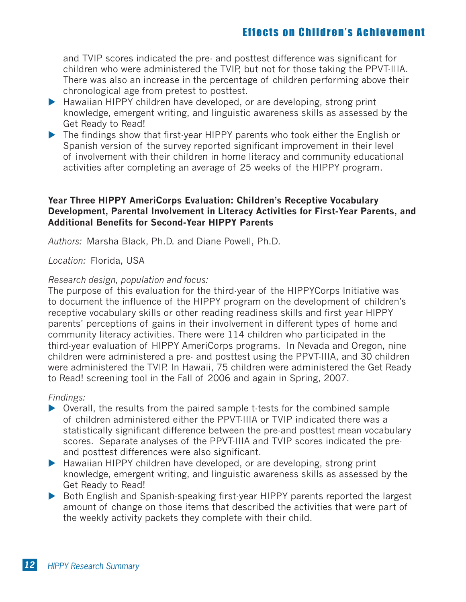and TVIP scores indicated the pre- and posttest difference was significant for children who were administered the TVIP, but not for those taking the PPVT-IIIA. There was also an increase in the percentage of children performing above their chronological age from pretest to posttest.

- ▶ Hawaiian HIPPY children have developed, or are developing, strong print knowledge, emergent writing, and linguistic awareness skills as assessed by the Get Ready to Read!
- ▶ The findings show that first-year HIPPY parents who took either the English or Spanish version of the survey reported significant improvement in their level of involvement with their children in home literacy and community educational activities after completing an average of 25 weeks of the HIPPY program.

### **Year Three HIPPY AmeriCorps Evaluation: Children's Receptive Vocabulary Development, Parental Involvement in Literacy Activities for First-Year Parents, and Additional Benefits for Second-Year HIPPY Parents**

*Authors:* Marsha Black, Ph.D. and Diane Powell, Ph.D*.*

#### *Location:* Florida, USA

#### *Research design, population and focus:*

The purpose of this evaluation for the third-year of the HIPPYCorps Initiative was to document the influence of the HIPPY program on the development of children's receptive vocabulary skills or other reading readiness skills and first year HIPPY parents' perceptions of gains in their involvement in different types of home and community literacy activities. There were 114 children who participated in the third-year evaluation of HIPPY AmeriCorps programs. In Nevada and Oregon, nine children were administered a pre- and posttest using the PPVT-IIIA, and 30 children were administered the TVIP. In Hawaii, 75 children were administered the Get Ready to Read! screening tool in the Fall of 2006 and again in Spring, 2007.

#### *Findings:*

- ▶ Overall, the results from the paired sample t-tests for the combined sample of children administered either the PPVT-IIIA or TVIP indicated there was a statistically significant difference between the pre-and posttest mean vocabulary scores. Separate analyses of the PPVT-IIIA and TVIP scores indicated the preand posttest differences were also significant.
- ▶ Hawaiian HIPPY children have developed, or are developing, strong print knowledge, emergent writing, and linguistic awareness skills as assessed by the Get Ready to Read!
- ▶ Both English and Spanish-speaking first-year HIPPY parents reported the largest amount of change on those items that described the activities that were part of the weekly activity packets they complete with their child.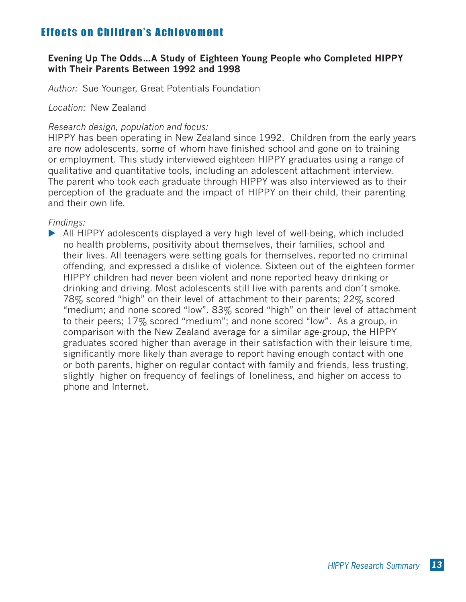# **Evening Up The Odds…A Study of Eighteen Young People who Completed HIPPY with Their Parents Between 1992 and 1998**

*Author:* Sue Younger, Great Potentials Foundation

*Location:* New Zealand

#### *Research design, population and focus:*

HIPPY has been operating in New Zealand since 1992. Children from the early years are now adolescents, some of whom have finished school and gone on to training or employment. This study interviewed eighteen HIPPY graduates using a range of qualitative and quantitative tools, including an adolescent attachment interview. The parent who took each graduate through HIPPY was also interviewed as to their perception of the graduate and the impact of HIPPY on their child, their parenting and their own life.

*Findings:* 

▶ All HIPPY adolescents displayed a very high level of well-being, which included no health problems, positivity about themselves, their families, school and their lives. All teenagers were setting goals for themselves, reported no criminal offending, and expressed a dislike of violence. Sixteen out of the eighteen former HIPPY children had never been violent and none reported heavy drinking or drinking and driving. Most adolescents still live with parents and don't smoke. 78% scored "high" on their level of attachment to their parents; 22% scored "medium; and none scored "low". 83% scored "high" on their level of attachment to their peers; 17% scored "medium"; and none scored "low". As a group, in comparison with the New Zealand average for a similar age-group, the HIPPY graduates scored higher than average in their satisfaction with their leisure time, significantly more likely than average to report having enough contact with one or both parents, higher on regular contact with family and friends, less trusting, slightly higher on frequency of feelings of loneliness, and higher on access to phone and Internet.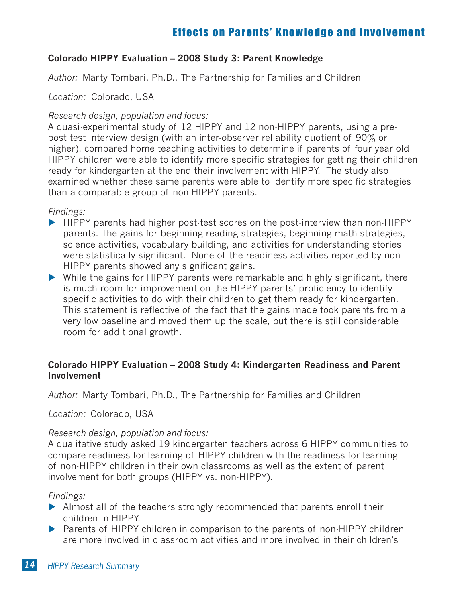# **Colorado HIPPY Evaluation – 2008 Study 3: Parent Knowledge**

*Author:* Marty Tombari, Ph.D., The Partnership for Families and Children

*Location:* Colorado, USA

#### *Research design, population and focus:*

A quasi-experimental study of 12 HIPPY and 12 non-HIPPY parents, using a prepost test interview design (with an inter-observer reliability quotient of 90% or higher), compared home teaching activities to determine if parents of four year old HIPPY children were able to identify more specific strategies for getting their children ready for kindergarten at the end their involvement with HIPPY. The study also examined whether these same parents were able to identify more specific strategies than a comparable group of non-HIPPY parents.

*Findings:* 

- ▶ HIPPY parents had higher post-test scores on the post-interview than non-HIPPY parents. The gains for beginning reading strategies, beginning math strategies, science activities, vocabulary building, and activities for understanding stories were statistically significant. None of the readiness activities reported by non-HIPPY parents showed any significant gains.
- While the gains for HIPPY parents were remarkable and highly significant, there is much room for improvement on the HIPPY parents' proficiency to identify specific activities to do with their children to get them ready for kindergarten. This statement is reflective of the fact that the gains made took parents from a very low baseline and moved them up the scale, but there is still considerable room for additional growth.

# **Colorado HIPPY Evaluation – 2008 Study 4: Kindergarten Readiness and Parent Involvement**

*Author:* Marty Tombari, Ph.D., The Partnership for Families and Children

*Location:* Colorado, USA

#### *Research design, population and focus:*

A qualitative study asked 19 kindergarten teachers across 6 HIPPY communities to compare readiness for learning of HIPPY children with the readiness for learning of non-HIPPY children in their own classrooms as well as the extent of parent involvement for both groups (HIPPY vs. non-HIPPY).

*Findings:* 

- Almost all of the teachers strongly recommended that parents enroll their children in HIPPY.
- ▶ Parents of HIPPY children in comparison to the parents of non-HIPPY children are more involved in classroom activities and more involved in their children's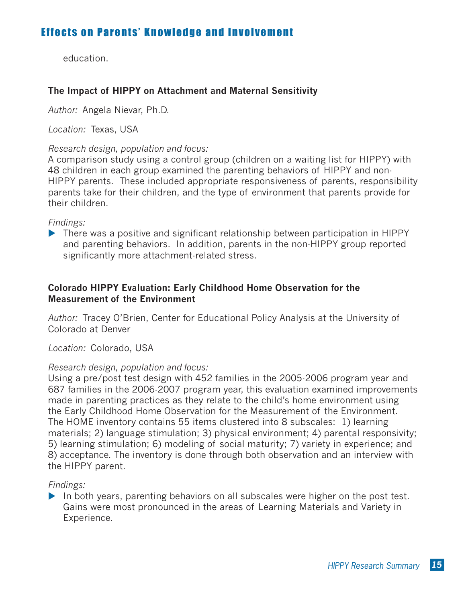education.

# **The Impact of HIPPY on Attachment and Maternal Sensitivity**

*Author:* Angela Nievar, Ph.D.

*Location:* Texas, USA

#### *Research design, population and focus:*

A comparison study using a control group (children on a waiting list for HIPPY) with 48 children in each group examined the parenting behaviors of HIPPY and non-HIPPY parents. These included appropriate responsiveness of parents, responsibility parents take for their children, and the type of environment that parents provide for their children.

*Findings:* 

• There was a positive and significant relationship between participation in HIPPY and parenting behaviors. In addition, parents in the non-HIPPY group reported significantly more attachment-related stress.

### **Colorado HIPPY Evaluation: Early Childhood Home Observation for the Measurement of the Environment**

*Author:* Tracey O'Brien, Center for Educational Policy Analysis at the University of Colorado at Denver

*Location:* Colorado, USA

#### *Research design, population and focus:*

Using a pre/post test design with 452 families in the 2005-2006 program year and 687 families in the 2006-2007 program year, this evaluation examined improvements made in parenting practices as they relate to the child's home environment using the Early Childhood Home Observation for the Measurement of the Environment. The HOME inventory contains 55 items clustered into 8 subscales: 1) learning materials; 2) language stimulation; 3) physical environment; 4) parental responsivity; 5) learning stimulation; 6) modeling of social maturity; 7) variety in experience; and 8) acceptance. The inventory is done through both observation and an interview with the HIPPY parent.

*Findings:* 

 $\blacktriangleright$  In both years, parenting behaviors on all subscales were higher on the post test. Gains were most pronounced in the areas of Learning Materials and Variety in Experience.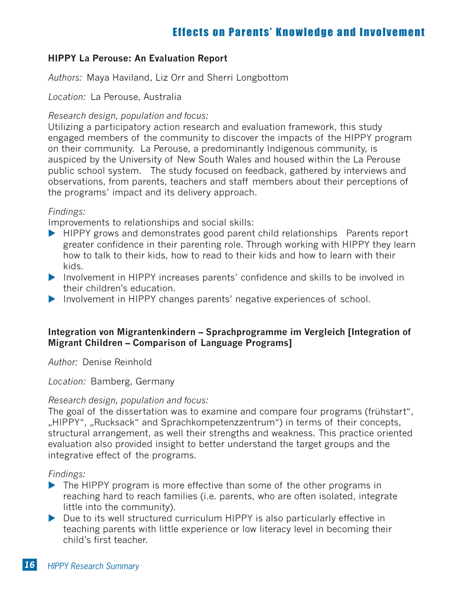# **HIPPY La Perouse: An Evaluation Report**

*Authors:* Maya Haviland, Liz Orr and Sherri Longbottom

*Location:* La Perouse, Australia

#### *Research design, population and focus:*

Utilizing a participatory action research and evaluation framework, this study engaged members of the community to discover the impacts of the HIPPY program on their community. La Perouse, a predominantly Indigenous community, is auspiced by the University of New South Wales and housed within the La Perouse public school system. The study focused on feedback, gathered by interviews and observations, from parents, teachers and staff members about their perceptions of the programs' impact and its delivery approach.

#### *Findings:*

Improvements to relationships and social skills:

- HIPPY grows and demonstrates good parent child relationships Parents report greater confidence in their parenting role. Through working with HIPPY they learn how to talk to their kids, how to read to their kids and how to learn with their kids.
- Involvement in HIPPY increases parents' confidence and skills to be involved in their children's education.
- Involvement in HIPPY changes parents' negative experiences of school.

### **Integration von Migrantenkindern – Sprachprogramme im Vergleich [Integration of Migrant Children – Comparison of Language Programs]**

*Author:* Denise Reinhold

#### *Location:* Bamberg, Germany

#### *Research design, population and focus:*

The goal of the dissertation was to examine and compare four programs (frühstart", "HIPPY", "Rucksack" and Sprachkompetenzzentrum") in terms of their concepts, structural arrangement, as well their strengths and weakness. This practice oriented evaluation also provided insight to better understand the target groups and the integrative effect of the programs.

*Findings:* 

- The HIPPY program is more effective than some of the other programs in reaching hard to reach families (i.e. parents, who are often isolated, integrate little into the community).
- ▶ Due to its well structured curriculum HIPPY is also particularly effective in teaching parents with little experience or low literacy level in becoming their child's first teacher.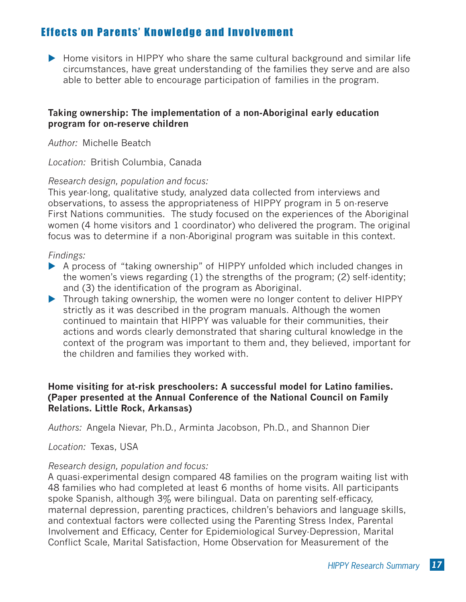Home visitors in HIPPY who share the same cultural background and similar life circumstances, have great understanding of the families they serve and are also able to better able to encourage participation of families in the program.

#### **Taking ownership: The implementation of a non-Aboriginal early education program for on-reserve children**

*Author:* Michelle Beatch

*Location:* British Columbia, Canada

#### *Research design, population and focus:*

This year-long, qualitative study, analyzed data collected from interviews and observations, to assess the appropriateness of HIPPY program in 5 on-reserve First Nations communities. The study focused on the experiences of the Aboriginal women (4 home visitors and 1 coordinator) who delivered the program. The original focus was to determine if a non-Aboriginal program was suitable in this context.

#### *Findings:*

- ▶ A process of "taking ownership" of HIPPY unfolded which included changes in the women's views regarding (1) the strengths of the program; (2) self-identity; and (3) the identification of the program as Aboriginal.
- Through taking ownership, the women were no longer content to deliver HIPPY strictly as it was described in the program manuals. Although the women continued to maintain that HIPPY was valuable for their communities, their actions and words clearly demonstrated that sharing cultural knowledge in the context of the program was important to them and, they believed, important for the children and families they worked with.

#### **Home visiting for at-risk preschoolers: A successful model for Latino families. (Paper presented at the Annual Conference of the National Council on Family Relations. Little Rock, Arkansas)**

*Authors:* Angela Nievar, Ph.D., Arminta Jacobson, Ph.D., and Shannon Dier

#### *Location:* Texas, USA

#### *Research design, population and focus:*

A quasi-experimental design compared 48 families on the program waiting list with 48 families who had completed at least 6 months of home visits. All participants spoke Spanish, although 3% were bilingual. Data on parenting self-efficacy, maternal depression, parenting practices, children's behaviors and language skills, and contextual factors were collected using the Parenting Stress Index, Parental Involvement and Efficacy, Center for Epidemiological Survey-Depression, Marital Conflict Scale, Marital Satisfaction, Home Observation for Measurement of the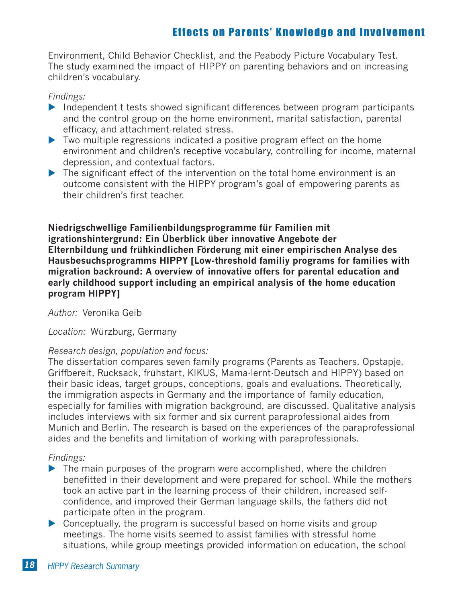Environment, Child Behavior Checklist, and the Peabody Picture Vocabulary Test. The study examined the impact of HIPPY on parenting behaviors and on increasing children's vocabulary.

### *Findings:*

- Independent t tests showed significant differences between program participants and the control group on the home environment, marital satisfaction, parental efficacy, and attachment-related stress.
- ▶ Two multiple regressions indicated a positive program effect on the home environment and children's receptive vocabulary, controlling for income, maternal depression, and contextual factors.
- $\blacktriangleright$  The significant effect of the intervention on the total home environment is an outcome consistent with the HIPPY program's goal of empowering parents as their children's first teacher.

**Niedrigschwellige Familienbildungsprogramme für Familien mit igrationshintergrund: Ein Überblick über innovative Angebote der Elternbildung und frühkindlichen Förderung mit einer empirischen Analyse des Hausbesuchsprogramms HIPPY [Low-threshold familiy programs for families with migration backround: A overview of innovative offers for parental education and early childhood support including an empirical analysis of the home education program HIPPY]**

*Author:* Veronika Geib

*Location:* Würzburg, Germany

# *Research design, population and focus:*

The dissertation compares seven family programs (Parents as Teachers, Opstapje, Griffbereit, Rucksack, frühstart, KIKUS, Mama-lernt-Deutsch and HIPPY) based on their basic ideas, target groups, conceptions, goals and evaluations. Theoretically, the immigration aspects in Germany and the importance of family education, especially for families with migration background, are discussed. Qualitative analysis includes interviews with six former and six current paraprofessional aides from Munich and Berlin. The research is based on the experiences of the paraprofessional aides and the benefits and limitation of working with paraprofessionals.

# *Findings:*

- $\blacktriangleright$  The main purposes of the program were accomplished, where the children benefitted in their development and were prepared for school. While the mothers took an active part in the learning process of their children, increased selfconfidence, and improved their German language skills, the fathers did not participate often in the program.
- Conceptually, the program is successful based on home visits and group meetings. The home visits seemed to assist families with stressful home situations, while group meetings provided information on education, the school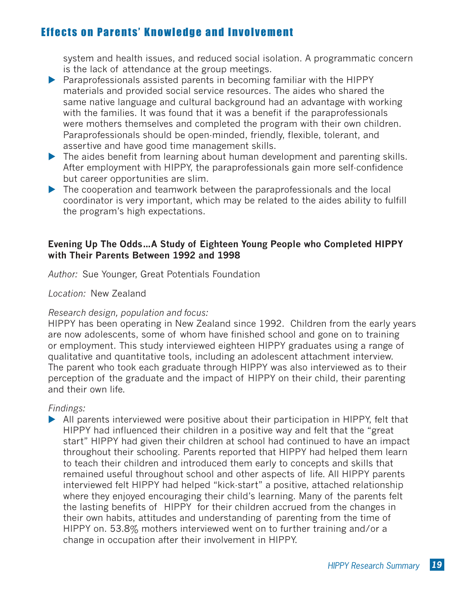system and health issues, and reduced social isolation. A programmatic concern is the lack of attendance at the group meetings.

- $\blacktriangleright$  Paraprofessionals assisted parents in becoming familiar with the HIPPY materials and provided social service resources. The aides who shared the same native language and cultural background had an advantage with working with the families. It was found that it was a benefit if the paraprofessionals were mothers themselves and completed the program with their own children. Paraprofessionals should be open-minded, friendly, flexible, tolerant, and assertive and have good time management skills.
- If the aides benefit from learning about human development and parenting skills. After employment with HIPPY, the paraprofessionals gain more self-confidence but career opportunities are slim.
- The cooperation and teamwork between the paraprofessionals and the local coordinator is very important, which may be related to the aides ability to fulfill the program's high expectations.

### **Evening Up The Odds…A Study of Eighteen Young People who Completed HIPPY with Their Parents Between 1992 and 1998**

*Author:* Sue Younger, Great Potentials Foundation

*Location:* New Zealand

# *Research design, population and focus:*

HIPPY has been operating in New Zealand since 1992. Children from the early years are now adolescents, some of whom have finished school and gone on to training or employment. This study interviewed eighteen HIPPY graduates using a range of qualitative and quantitative tools, including an adolescent attachment interview. The parent who took each graduate through HIPPY was also interviewed as to their perception of the graduate and the impact of HIPPY on their child, their parenting and their own life.

*Findings:* 

All parents interviewed were positive about their participation in HIPPY, felt that HIPPY had influenced their children in a positive way and felt that the "great start" HIPPY had given their children at school had continued to have an impact throughout their schooling. Parents reported that HIPPY had helped them learn to teach their children and introduced them early to concepts and skills that remained useful throughout school and other aspects of life. All HIPPY parents interviewed felt HIPPY had helped "kick-start" a positive, attached relationship where they enjoyed encouraging their child's learning. Many of the parents felt the lasting benefits of HIPPY for their children accrued from the changes in their own habits, attitudes and understanding of parenting from the time of HIPPY on. 53.8% mothers interviewed went on to further training and/or a change in occupation after their involvement in HIPPY.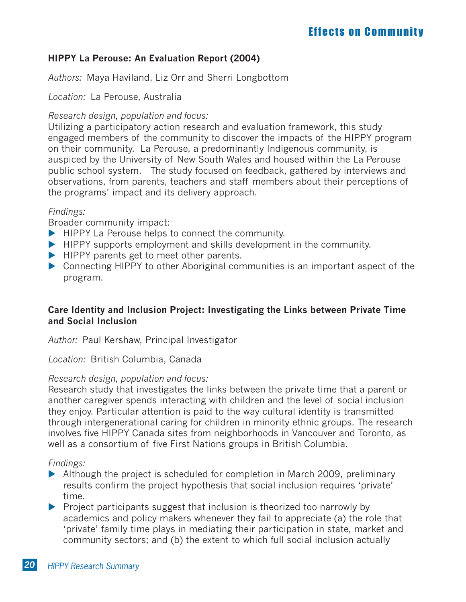# **HIPPY La Perouse: An Evaluation Report (2004)**

*Authors:* Maya Haviland, Liz Orr and Sherri Longbottom

*Location:* La Perouse, Australia

#### *Research design, population and focus:*

Utilizing a participatory action research and evaluation framework, this study engaged members of the community to discover the impacts of the HIPPY program on their community. La Perouse, a predominantly Indigenous community, is auspiced by the University of New South Wales and housed within the La Perouse public school system. The study focused on feedback, gathered by interviews and observations, from parents, teachers and staff members about their perceptions of the programs' impact and its delivery approach.

### *Findings:*

Broader community impact:

- HIPPY La Perouse helps to connect the community.
- HIPPY supports employment and skills development in the community.
- HIPPY parents get to meet other parents.
- ▶ Connecting HIPPY to other Aboriginal communities is an important aspect of the program.

# **Care Identity and Inclusion Project: Investigating the Links between Private Time and Social Inclusion**

*Author:* Paul Kershaw, Principal Investigator

*Location:* British Columbia, Canada

#### *Research design, population and focus:*

Research study that investigates the links between the private time that a parent or another caregiver spends interacting with children and the level of social inclusion they enjoy. Particular attention is paid to the way cultural identity is transmitted through intergenerational caring for children in minority ethnic groups. The research involves five HIPPY Canada sites from neighborhoods in Vancouver and Toronto, as well as a consortium of five First Nations groups in British Columbia.

# *Findings:*

- ▶ Although the project is scheduled for completion in March 2009, preliminary results confirm the project hypothesis that social inclusion requires 'private' time.
- $\blacktriangleright$  Project participants suggest that inclusion is theorized too narrowly by academics and policy makers whenever they fail to appreciate (a) the role that 'private' family time plays in mediating their participation in state, market and community sectors; and (b) the extent to which full social inclusion actually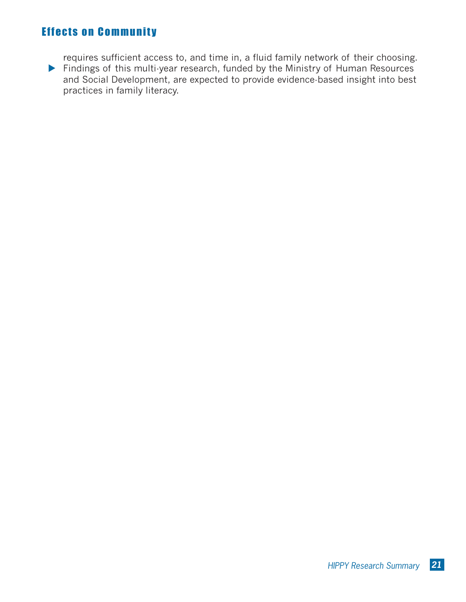# **Effects on Community**

requires sufficient access to, and time in, a fluid family network of their choosing. ▶ Findings of this multi-year research, funded by the Ministry of Human Resources and Social Development, are expected to provide evidence-based insight into best practices in family literacy.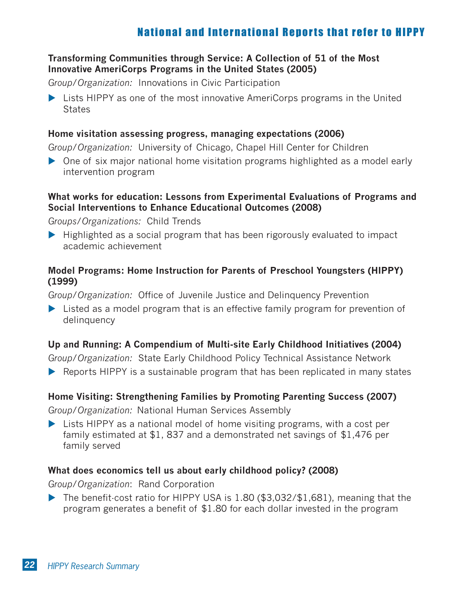# National and International Reports that refer to HIPPY

# **Transforming Communities through Service: A Collection of 51 of the Most Innovative AmeriCorps Programs in the United States (2005)**

*Group/Organization:* Innovations in Civic Participation

▶ Lists HIPPY as one of the most innovative AmeriCorps programs in the United **States** 

### **Home visitation assessing progress, managing expectations (2006)**

*Group/Organization:* University of Chicago, Chapel Hill Center for Children

▶ One of six major national home visitation programs highlighted as a model early intervention program

# **What works for education: Lessons from Experimental Evaluations of Programs and Social Interventions to Enhance Educational Outcomes (2008)**

*Groups/Organizations:* Child Trends

 $\blacktriangleright$  Highlighted as a social program that has been rigorously evaluated to impact academic achievement

# **Model Programs: Home Instruction for Parents of Preschool Youngsters (HIPPY) (1999)**

*Group/Organization:* Office of Juvenile Justice and Delinquency Prevention

▶ Listed as a model program that is an effective family program for prevention of delinquency

# **Up and Running: A Compendium of Multi-site Early Childhood Initiatives (2004)**

*Group/Organization:* State Early Childhood Policy Technical Assistance Network

▶ Reports HIPPY is a sustainable program that has been replicated in many states

# **Home Visiting: Strengthening Families by Promoting Parenting Success (2007)**

*Group/Organization:* National Human Services Assembly

▶ Lists HIPPY as a national model of home visiting programs, with a cost per family estimated at \$1, 837 and a demonstrated net savings of \$1,476 per family served

# **What does economics tell us about early childhood policy? (2008)**

*Group/Organization*: Rand Corporation

▶ The benefit cost ratio for HIPPY USA is 1.80 (\$3,032/\$1,681), meaning that the program generates a benefit of \$1.80 for each dollar invested in the program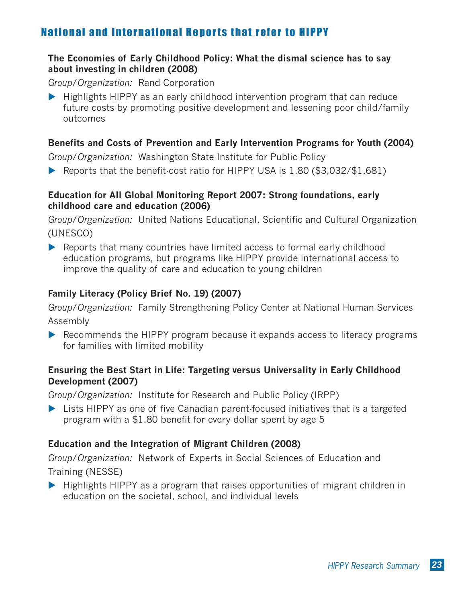# National and International Reports that refer to HIPPY

# **The Economies of Early Childhood Policy: What the dismal science has to say about investing in children (2008)**

*Group/Organization:* Rand Corporation

Highlights HIPPY as an early childhood intervention program that can reduce future costs by promoting positive development and lessening poor child/family outcomes

# **Benefits and Costs of Prevention and Early Intervention Programs for Youth (2004)**

*Group/Organization:* Washington State Institute for Public Policy

▶ Reports that the benefit-cost ratio for HIPPY USA is 1.80 (\$3,032/\$1,681)

### **Education for All Global Monitoring Report 2007: Strong foundations, early childhood care and education (2006)**

*Group/Organization:* United Nations Educational, Scientific and Cultural Organization (UNESCO)

▶ Reports that many countries have limited access to formal early childhood education programs, but programs like HIPPY provide international access to improve the quality of care and education to young children

# **Family Literacy (Policy Brief No. 19) (2007)**

*Group/Organization:* Family Strengthening Policy Center at National Human Services Assembly

▶ Recommends the HIPPY program because it expands access to literacy programs for families with limited mobility

# **Ensuring the Best Start in Life: Targeting versus Universality in Early Childhood Development (2007)**

*Group/Organization:* Institute for Research and Public Policy (IRPP)

▶ Lists HIPPY as one of five Canadian parent focused initiatives that is a targeted program with a \$1.80 benefit for every dollar spent by age 5

# **Education and the Integration of Migrant Children (2008)**

*Group/Organization:* Network of Experts in Social Sciences of Education and Training (NESSE)

 $\blacktriangleright$  Highlights HIPPY as a program that raises opportunities of migrant children in education on the societal, school, and individual levels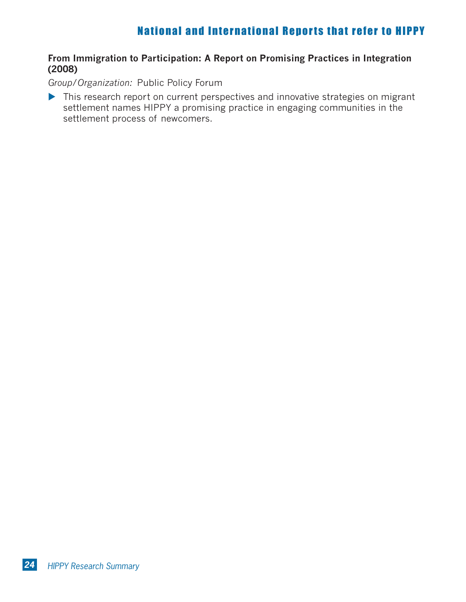# National and International Reports that refer to HIPPY

# **From Immigration to Participation: A Report on Promising Practices in Integration (2008)**

*Group/Organization:* Public Policy Forum

It This research report on current perspectives and innovative strategies on migrant settlement names HIPPY a promising practice in engaging communities in the settlement process of newcomers.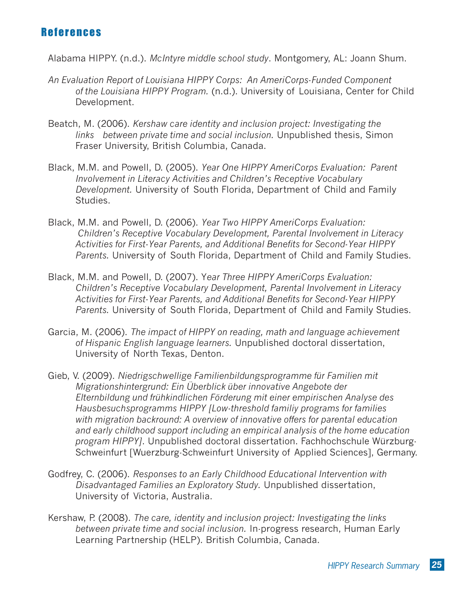# References

Alabama HIPPY. (n.d.). *McIntyre middle school study*. Montgomery, AL: Joann Shum.

- *An Evaluation Report of Louisiana HIPPY Corps: An AmeriCorps-Funded Component of the Louisiana HIPPY Program.* (n.d.). University of Louisiana, Center for Child Development.
- Beatch, M. (2006). *Kershaw care identity and inclusion project: Investigating the links between private time and social inclusion.* Unpublished thesis, Simon Fraser University, British Columbia, Canada.
- Black, M.M. and Powell, D. (2005). *Year One HIPPY AmeriCorps Evaluation: Parent Involvement in Literacy Activities and Children's Receptive Vocabulary Development.* University of South Florida, Department of Child and Family Studies.
- Black, M.M. and Powell, D. (2006). *Year Two HIPPY AmeriCorps Evaluation: Children's Receptive Vocabulary Development, Parental Involvement in Literacy Activities for First-Year Parents, and Additional Benefits for Second-Year HIPPY Parents.* University of South Florida, Department of Child and Family Studies.
- Black, M.M. and Powell, D. (2007). Y*ear Three HIPPY AmeriCorps Evaluation: Children's Receptive Vocabulary Development, Parental Involvement in Literacy Activities for First-Year Parents, and Additional Benefits for Second-Year HIPPY Parents.* University of South Florida, Department of Child and Family Studies.
- Garcia, M. (2006). *The impact of HIPPY on reading, math and language achievement of Hispanic English language learners.* Unpublished doctoral dissertation, University of North Texas, Denton.
- Gieb, V. (2009). *Niedrigschwellige Familienbildungsprogramme für Familien mit Migrationshintergrund: Ein Überblick über innovative Angebote der Elternbildung und frühkindlichen Förderung mit einer empirischen Analyse des Hausbesuchsprogramms HIPPY [Low-threshold familiy programs for families with migration backround: A overview of innovative offers for parental education and early childhood support including an empirical analysis of the home education program HIPPY]*. Unpublished doctoral dissertation. Fachhochschule Würzburg-Schweinfurt [Wuerzburg-Schweinfurt University of Applied Sciences], Germany.
- Godfrey, C. (2006). *Responses to an Early Childhood Educational Intervention with Disadvantaged Families an Exploratory Study.* Unpublished dissertation, University of Victoria, Australia.
- Kershaw, P. (2008). *The care, identity and inclusion project: Investigating the links between private time and social inclusion.* In-progress research, Human Early Learning Partnership (HELP). British Columbia, Canada.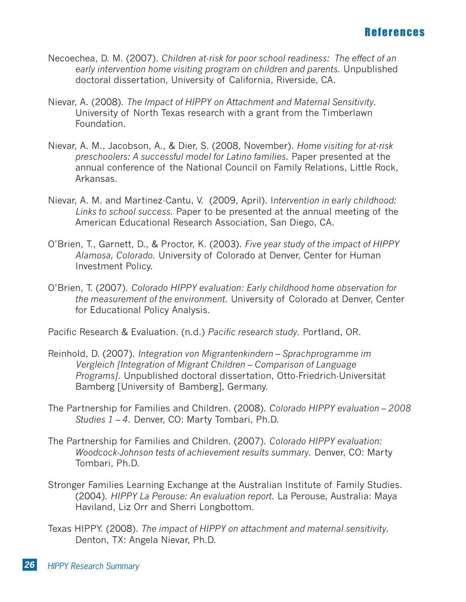- Necoechea, D. M. (2007). *Children at-risk for poor school readiness: The effect of an early intervention home visiting program on children and parents.* Unpublished doctoral dissertation, University of California, Riverside, CA.
- Nievar, A. (2008). *The Impact of HIPPY on Attachment and Maternal Sensitivity.*  University of North Texas research with a grant from the Timberlawn Foundation.
- Nievar, A. M., Jacobson, A., & Dier, S. (2008, November). *Home visiting for at-risk preschoolers: A successful model for Latino families.* Paper presented at the annual conference of the National Council on Family Relations, Little Rock, Arkansas.
- Nievar, A. M. and Martinez-Cantu, V. (2009, April). I*ntervention in early childhood: Links to school success.* Paper to be presented at the annual meeting of the American Educational Research Association, San Diego, CA.
- O'Brien, T., Garnett, D., & Proctor, K. (2003). *Five year study of the impact of HIPPY Alamosa, Colorado.* University of Colorado at Denver, Center for Human Investment Policy.
- O'Brien, T. (2007). *Colorado HIPPY evaluation: Early childhood home observation for the measurement of the environment.* University of Colorado at Denver, Center for Educational Policy Analysis.

Pacific Research & Evaluation. (n.d.) *Pacific research study.* Portland, OR.

- Reinhold, D. (2007). *Integration von Migrantenkindern Sprachprogramme im Vergleich [Integration of Migrant Children – Comparison of Language Programs].* Unpublished doctoral dissertation, Otto-Friedrich-Universität Bamberg [University of Bamberg], Germany.
- The Partnership for Families and Children. (2008). *Colorado HIPPY evaluation 2008 Studies 1 – 4.* Denver, CO: Marty Tombari, Ph.D.
- The Partnership for Families and Children. (2007). *Colorado HIPPY evaluation: Woodcock-Johnson tests of achievement results summary.* Denver, CO: Marty Tombari, Ph.D.
- Stronger Families Learning Exchange at the Australian Institute of Family Studies. (2004). *HIPPY La Perouse: An evaluation report.* La Perouse, Australia: Maya Haviland, Liz Orr and Sherri Longbottom.
- Texas HIPPY. (2008). *The impact of HIPPY on attachment and maternal sensitivity.* Denton, TX: Angela Nievar, Ph.D.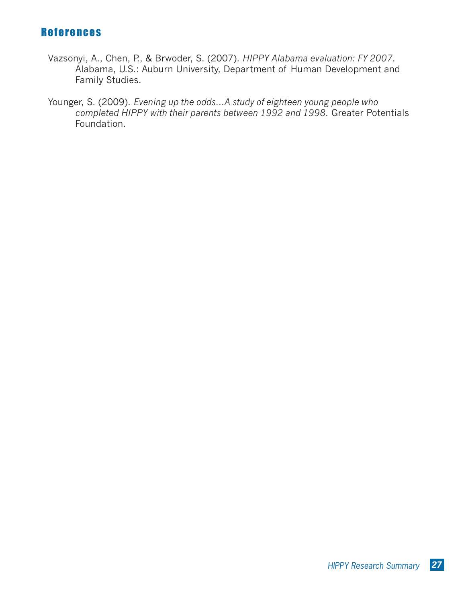# References

- Vazsonyi, A., Chen, P., & Brwoder, S. (2007). *HIPPY Alabama evaluation: FY 2007.* Alabama, U.S.: Auburn University, Department of Human Development and Family Studies.
- Younger, S. (2009). *Evening up the odds…A study of eighteen young people who completed HIPPY with their parents between 1992 and 1998.* Greater Potentials Foundation.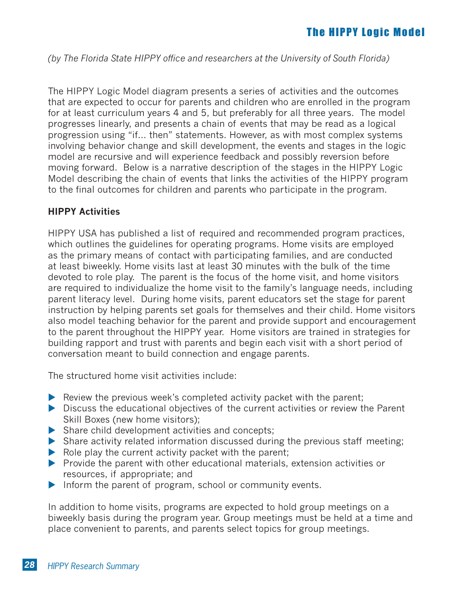# **The HIPPY Logic Model**

*(by The Florida State HIPPY office and researchers at the University of South Florida)*

The HIPPY Logic Model diagram presents a series of activities and the outcomes that are expected to occur for parents and children who are enrolled in the program for at least curriculum years 4 and 5, but preferably for all three years. The model progresses linearly, and presents a chain of events that may be read as a logical progression using "if… then" statements. However, as with most complex systems involving behavior change and skill development, the events and stages in the logic model are recursive and will experience feedback and possibly reversion before moving forward. Below is a narrative description of the stages in the HIPPY Logic Model describing the chain of events that links the activities of the HIPPY program to the final outcomes for children and parents who participate in the program.

# **HIPPY Activities**

HIPPY USA has published a list of required and recommended program practices, which outlines the guidelines for operating programs. Home visits are employed as the primary means of contact with participating families, and are conducted at least biweekly. Home visits last at least 30 minutes with the bulk of the time devoted to role play. The parent is the focus of the home visit, and home visitors are required to individualize the home visit to the family's language needs, including parent literacy level. During home visits, parent educators set the stage for parent instruction by helping parents set goals for themselves and their child. Home visitors also model teaching behavior for the parent and provide support and encouragement to the parent throughout the HIPPY year. Home visitors are trained in strategies for building rapport and trust with parents and begin each visit with a short period of conversation meant to build connection and engage parents.

The structured home visit activities include:

- ▶ Review the previous week's completed activity packet with the parent;
- ▶ Discuss the educational objectives of the current activities or review the Parent Skill Boxes (new home visitors);
- ▶ Share child development activities and concepts;
- ▶ Share activity related information discussed during the previous staff meeting;
- $\blacktriangleright$  Role play the current activity packet with the parent;
- $\blacktriangleright$  Provide the parent with other educational materials, extension activities or resources, if appropriate; and
- Inform the parent of program, school or community events.

In addition to home visits, programs are expected to hold group meetings on a biweekly basis during the program year. Group meetings must be held at a time and place convenient to parents, and parents select topics for group meetings.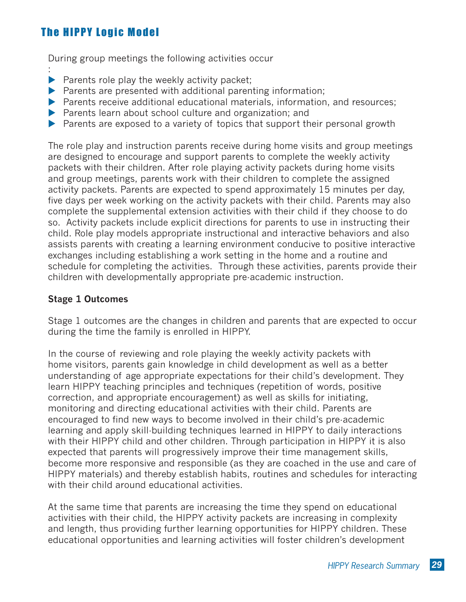# **The HIPPY Logic Model**

:

During group meetings the following activities occur

- $\blacktriangleright$  Parents role play the weekly activity packet;
- $\blacktriangleright$  Parents are presented with additional parenting information;
- ▶ Parents receive additional educational materials, information, and resources;
- ▶ Parents learn about school culture and organization; and
- ▶ Parents are exposed to a variety of topics that support their personal growth

The role play and instruction parents receive during home visits and group meetings are designed to encourage and support parents to complete the weekly activity packets with their children. After role playing activity packets during home visits and group meetings, parents work with their children to complete the assigned activity packets. Parents are expected to spend approximately 15 minutes per day, five days per week working on the activity packets with their child. Parents may also complete the supplemental extension activities with their child if they choose to do so. Activity packets include explicit directions for parents to use in instructing their child. Role play models appropriate instructional and interactive behaviors and also assists parents with creating a learning environment conducive to positive interactive exchanges including establishing a work setting in the home and a routine and schedule for completing the activities. Through these activities, parents provide their children with developmentally appropriate pre-academic instruction.

### **Stage 1 Outcomes**

Stage 1 outcomes are the changes in children and parents that are expected to occur during the time the family is enrolled in HIPPY.

In the course of reviewing and role playing the weekly activity packets with home visitors, parents gain knowledge in child development as well as a better understanding of age appropriate expectations for their child's development. They learn HIPPY teaching principles and techniques (repetition of words, positive correction, and appropriate encouragement) as well as skills for initiating, monitoring and directing educational activities with their child. Parents are encouraged to find new ways to become involved in their child's pre-academic learning and apply skill-building techniques learned in HIPPY to daily interactions with their HIPPY child and other children. Through participation in HIPPY it is also expected that parents will progressively improve their time management skills, become more responsive and responsible (as they are coached in the use and care of HIPPY materials) and thereby establish habits, routines and schedules for interacting with their child around educational activities.

At the same time that parents are increasing the time they spend on educational activities with their child, the HIPPY activity packets are increasing in complexity and length, thus providing further learning opportunities for HIPPY children. These educational opportunities and learning activities will foster children's development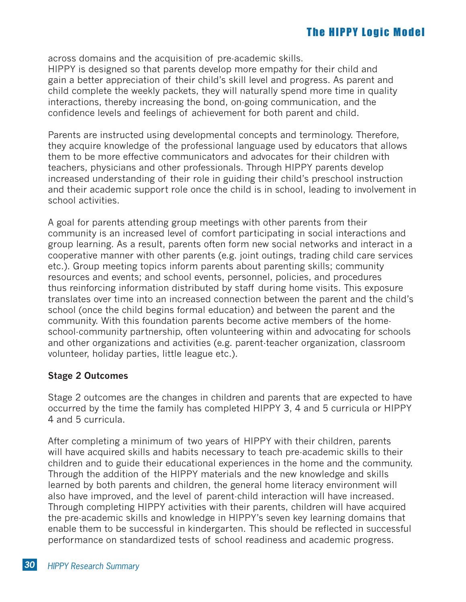across domains and the acquisition of pre-academic skills.

HIPPY is designed so that parents develop more empathy for their child and gain a better appreciation of their child's skill level and progress. As parent and child complete the weekly packets, they will naturally spend more time in quality interactions, thereby increasing the bond, on-going communication, and the confidence levels and feelings of achievement for both parent and child.

Parents are instructed using developmental concepts and terminology. Therefore, they acquire knowledge of the professional language used by educators that allows them to be more effective communicators and advocates for their children with teachers, physicians and other professionals. Through HIPPY parents develop increased understanding of their role in guiding their child's preschool instruction and their academic support role once the child is in school, leading to involvement in school activities.

A goal for parents attending group meetings with other parents from their community is an increased level of comfort participating in social interactions and group learning. As a result, parents often form new social networks and interact in a cooperative manner with other parents (e.g. joint outings, trading child care services etc.). Group meeting topics inform parents about parenting skills; community resources and events; and school events, personnel, policies, and procedures thus reinforcing information distributed by staff during home visits. This exposure translates over time into an increased connection between the parent and the child's school (once the child begins formal education) and between the parent and the community. With this foundation parents become active members of the homeschool-community partnership, often volunteering within and advocating for schools and other organizations and activities (e.g. parent-teacher organization, classroom volunteer, holiday parties, little league etc.).

# **Stage 2 Outcomes**

Stage 2 outcomes are the changes in children and parents that are expected to have occurred by the time the family has completed HIPPY 3, 4 and 5 curricula or HIPPY 4 and 5 curricula.

After completing a minimum of two years of HIPPY with their children, parents will have acquired skills and habits necessary to teach pre-academic skills to their children and to guide their educational experiences in the home and the community. Through the addition of the HIPPY materials and the new knowledge and skills learned by both parents and children, the general home literacy environment will also have improved, and the level of parent-child interaction will have increased. Through completing HIPPY activities with their parents, children will have acquired the pre-academic skills and knowledge in HIPPY's seven key learning domains that enable them to be successful in kindergarten. This should be reflected in successful performance on standardized tests of school readiness and academic progress.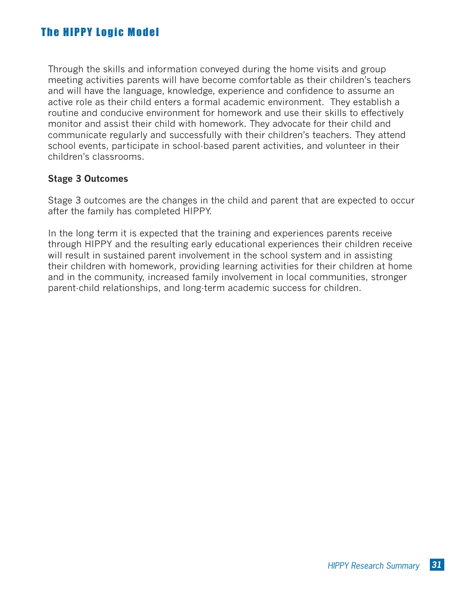# **The HIPPY Logic Model**

Through the skills and information conveyed during the home visits and group meeting activities parents will have become comfortable as their children's teachers and will have the language, knowledge, experience and confidence to assume an active role as their child enters a formal academic environment. They establish a routine and conducive environment for homework and use their skills to effectively monitor and assist their child with homework. They advocate for their child and communicate regularly and successfully with their children's teachers. They attend school events, participate in school-based parent activities, and volunteer in their children's classrooms.

# **Stage 3 Outcomes**

Stage 3 outcomes are the changes in the child and parent that are expected to occur after the family has completed HIPPY.

In the long term it is expected that the training and experiences parents receive through HIPPY and the resulting early educational experiences their children receive will result in sustained parent involvement in the school system and in assisting their children with homework, providing learning activities for their children at home and in the community, increased family involvement in local communities, stronger parent-child relationships, and long-term academic success for children.